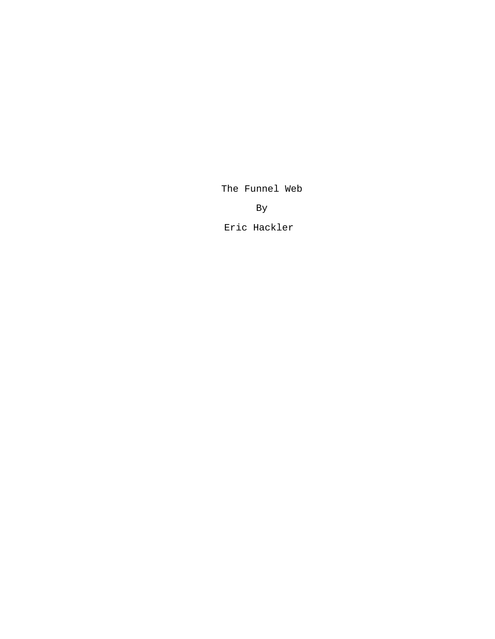The Funnel Web

By

Eric Hackler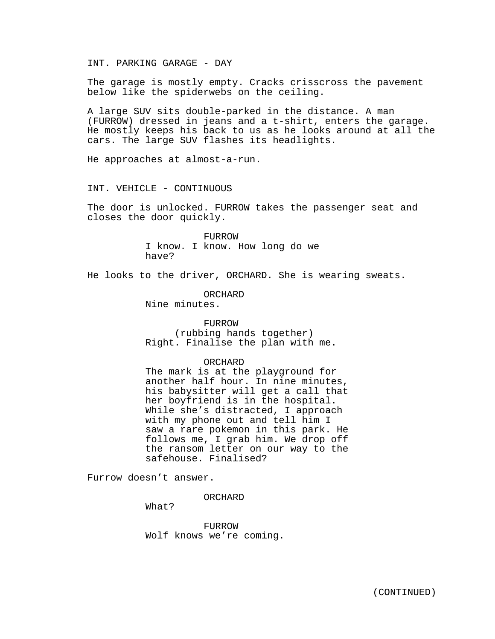INT. PARKING GARAGE - DAY

The garage is mostly empty. Cracks crisscross the pavement below like the spiderwebs on the ceiling.

A large SUV sits double-parked in the distance. A man (FURROW) dressed in jeans and a t-shirt, enters the garage. He mostly keeps his back to us as he looks around at all the cars. The large SUV flashes its headlights.

He approaches at almost-a-run.

INT. VEHICLE - CONTINUOUS

The door is unlocked. FURROW takes the passenger seat and closes the door quickly.

> FURROW I know. I know. How long do we have?

He looks to the driver, ORCHARD. She is wearing sweats.

ORCHARD

Nine minutes.

## FURROW

(rubbing hands together) Right. Finalise the plan with me.

#### ORCHARD

The mark is at the playground for another half hour. In nine minutes, his babysitter will get a call that her boyfriend is in the hospital. While she's distracted, I approach with my phone out and tell him I saw a rare pokemon in this park. He follows me, I grab him. We drop off the ransom letter on our way to the safehouse. Finalised?

Furrow doesn't answer.

ORCHARD

What?

FURROW Wolf knows we're coming.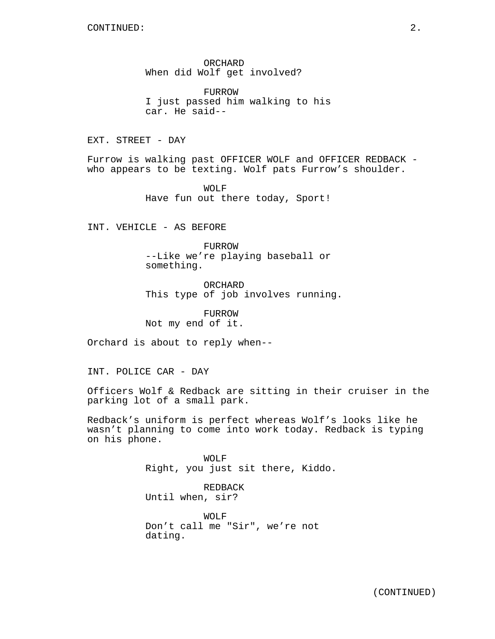ORCHARD When did Wolf get involved?

FURROW I just passed him walking to his car. He said--

EXT. STREET - DAY

Furrow is walking past OFFICER WOLF and OFFICER REDBACK who appears to be texting. Wolf pats Furrow's shoulder.

> WOLF Have fun out there today, Sport!

INT. VEHICLE - AS BEFORE

FURROW --Like we're playing baseball or something.

ORCHARD This type of job involves running.

FURROW Not my end of it.

Orchard is about to reply when--

INT. POLICE CAR - DAY

Officers Wolf & Redback are sitting in their cruiser in the parking lot of a small park.

Redback's uniform is perfect whereas Wolf's looks like he wasn't planning to come into work today. Redback is typing on his phone.

> WOLF Right, you just sit there, Kiddo.

REDBACK Until when, sir?

WOLF Don't call me "Sir", we're not dating.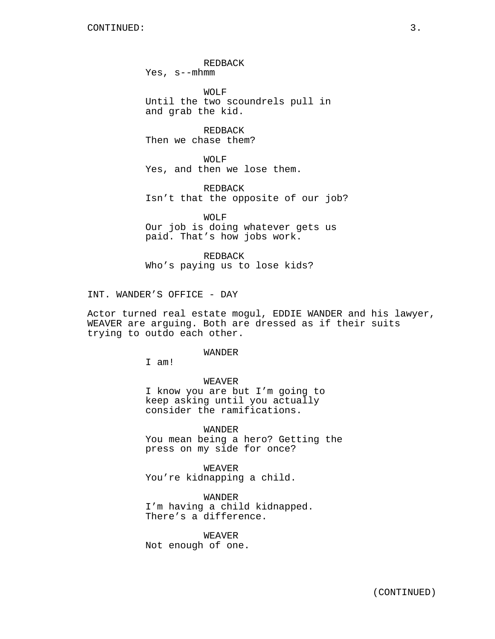REDBACK

Yes, s--mhmm

WOLF Until the two scoundrels pull in and grab the kid.

REDBACK Then we chase them?

WOLF Yes, and then we lose them.

REDBACK Isn't that the opposite of our job?

WOLF Our job is doing whatever gets us paid. That's how jobs work.

REDBACK Who's paying us to lose kids?

INT. WANDER'S OFFICE - DAY

Actor turned real estate mogul, EDDIE WANDER and his lawyer, WEAVER are arguing. Both are dressed as if their suits trying to outdo each other.

# WANDER

I am!

## WEAVER

I know you are but I'm going to keep asking until you actually consider the ramifications.

WANDER You mean being a hero? Getting the press on my side for once?

WEAVER You're kidnapping a child.

WANDER I'm having a child kidnapped. There's a difference.

WEAVER Not enough of one.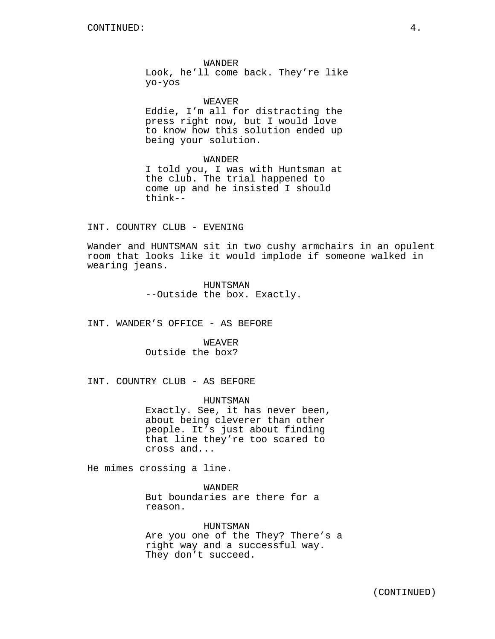## WANDER

Look, he'll come back. They're like yo-yos

#### WEAVER

Eddie, I'm all for distracting the press right now, but I would love to know how this solution ended up being your solution.

#### WANDER

I told you, I was with Huntsman at the club. The trial happened to come up and he insisted I should think--

# INT. COUNTRY CLUB - EVENING

Wander and HUNTSMAN sit in two cushy armchairs in an opulent room that looks like it would implode if someone walked in wearing jeans.

> HUNTSMAN --Outside the box. Exactly.

INT. WANDER'S OFFICE - AS BEFORE

WEAVER Outside the box?

INT. COUNTRY CLUB - AS BEFORE

HUNTSMAN Exactly. See, it has never been, about being cleverer than other people. It's just about finding that line they're too scared to cross and...

He mimes crossing a line.

## WANDER

But boundaries are there for a reason.

HUNTSMAN Are you one of the They? There's a right way and a successful way. They don't succeed.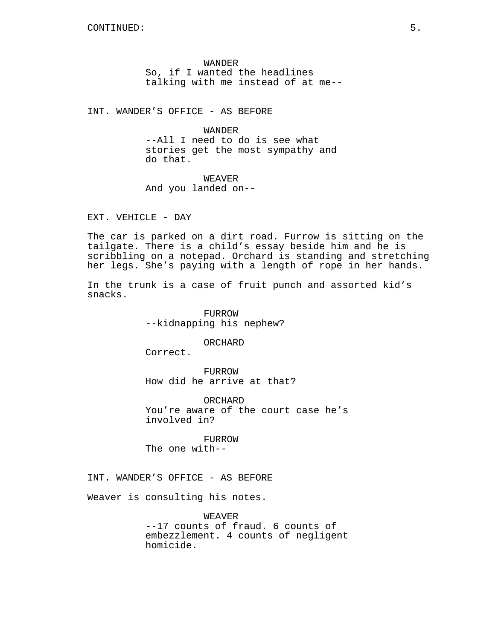WANDER So, if I wanted the headlines talking with me instead of at me--

INT. WANDER'S OFFICE - AS BEFORE

WANDER --All I need to do is see what stories get the most sympathy and do that.

WEAVER And you landed on--

EXT. VEHICLE - DAY

The car is parked on a dirt road. Furrow is sitting on the tailgate. There is a child's essay beside him and he is scribbling on a notepad. Orchard is standing and stretching her legs. She's paying with a length of rope in her hands.

In the trunk is a case of fruit punch and assorted kid's snacks.

> FURROW --kidnapping his nephew?

> > ORCHARD

Correct.

FURROW How did he arrive at that?

ORCHARD You're aware of the court case he's involved in?

FURROW The one with--

INT. WANDER'S OFFICE - AS BEFORE

Weaver is consulting his notes.

WEAVER --17 counts of fraud. 6 counts of embezzlement. 4 counts of negligent homicide.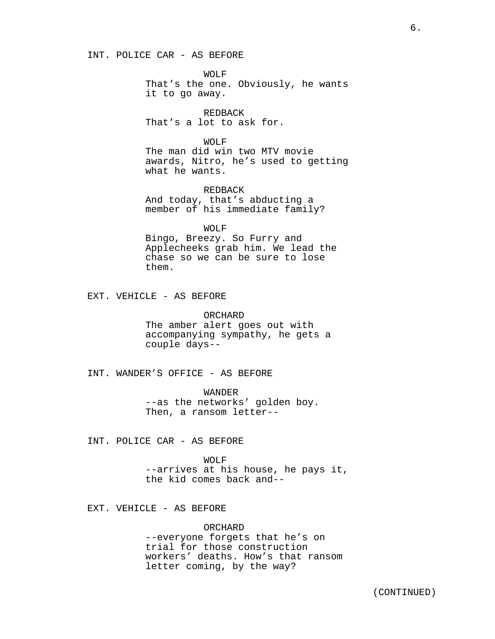WOLF That's the one. Obviously, he wants it to go away.

REDBACK That's a lot to ask for.

WOLF

The man did win two MTV movie awards, Nitro, he's used to getting what he wants.

REDBACK And today, that's abducting a member of his immediate family?

WOLF

Bingo, Breezy. So Furry and Applecheeks grab him. We lead the chase so we can be sure to lose them.

EXT. VEHICLE - AS BEFORE

ORCHARD The amber alert goes out with accompanying sympathy, he gets a couple days--

INT. WANDER'S OFFICE - AS BEFORE

WANDER --as the networks' golden boy. Then, a ransom letter--

INT. POLICE CAR - AS BEFORE

WOLF --arrives at his house, he pays it, the kid comes back and--

EXT. VEHICLE - AS BEFORE

ORCHARD --everyone forgets that he's on trial for those construction workers' deaths. How's that ransom letter coming, by the way?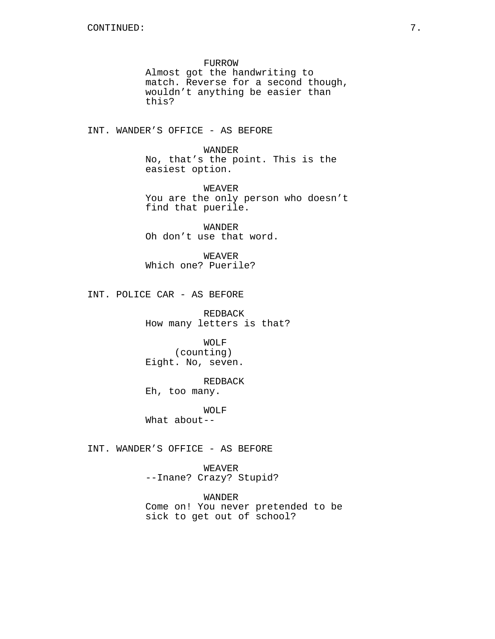FURROW Almost got the handwriting to match. Reverse for a second though, wouldn't anything be easier than this?

INT. WANDER'S OFFICE - AS BEFORE

WANDER No, that's the point. This is the easiest option.

WEAVER You are the only person who doesn't find that puerile.

WANDER Oh don't use that word.

WEAVER Which one? Puerile?

INT. POLICE CAR - AS BEFORE

REDBACK How many letters is that?

WOLF (counting) Eight. No, seven.

REDBACK

Eh, too many.

WOLF

What about--

INT. WANDER'S OFFICE - AS BEFORE

WEAVER --Inane? Crazy? Stupid?

WANDER Come on! You never pretended to be sick to get out of school?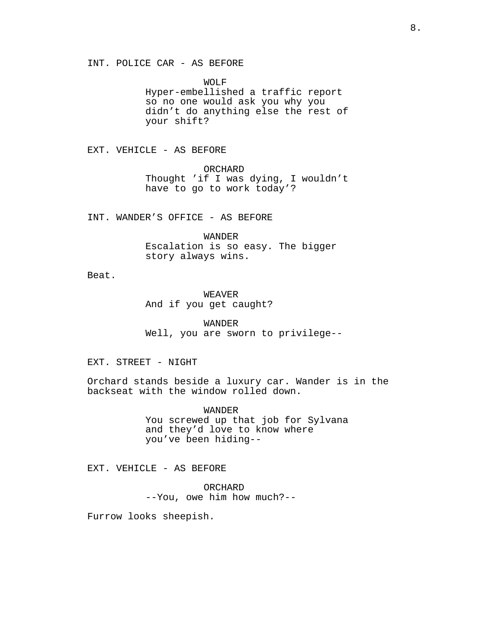WOLF Hyper-embellished a traffic report so no one would ask you why you didn't do anything else the rest of your shift?

EXT. VEHICLE - AS BEFORE

ORCHARD Thought 'if I was dying, I wouldn't have to go to work today'?

INT. WANDER'S OFFICE - AS BEFORE

WANDER Escalation is so easy. The bigger story always wins.

Beat.

WEAVER And if you get caught?

WANDER Well, you are sworn to privilege--

EXT. STREET - NIGHT

Orchard stands beside a luxury car. Wander is in the backseat with the window rolled down.

> WANDER You screwed up that job for Sylvana and they'd love to know where you've been hiding--

EXT. VEHICLE - AS BEFORE

ORCHARD --You, owe him how much?--

Furrow looks sheepish.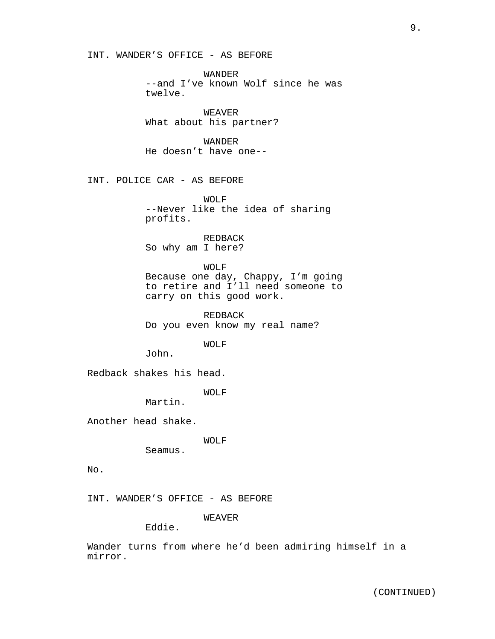INT. WANDER'S OFFICE - AS BEFORE

WANDER --and I've known Wolf since he was twelve.

WEAVER What about his partner?

WANDER He doesn't have one--

INT. POLICE CAR - AS BEFORE

WOLF --Never like the idea of sharing profits.

REDBACK So why am I here?

WOLF Because one day, Chappy, I'm going to retire and I'll need someone to carry on this good work.

REDBACK Do you even know my real name?

WOLF

John.

Redback shakes his head.

WOLF

Martin.

Another head shake.

WOLF

Seamus.

No.

INT. WANDER'S OFFICE - AS BEFORE

WEAVER

Eddie.

Wander turns from where he'd been admiring himself in a mirror.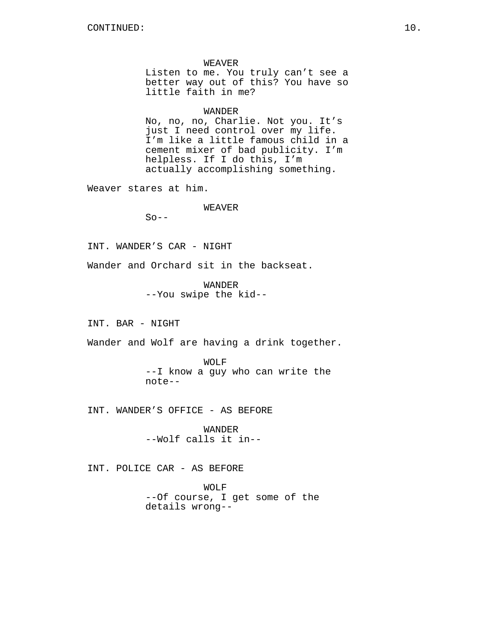WEAVER Listen to me. You truly can't see a better way out of this? You have so little faith in me?

# WANDER

No, no, no, Charlie. Not you. It's just I need control over my life. I'm like a little famous child in a cement mixer of bad publicity. I'm helpless. If I do this, I'm actually accomplishing something.

Weaver stares at him.

WEAVER

 $So --$ 

INT. WANDER'S CAR - NIGHT

Wander and Orchard sit in the backseat.

WANDER --You swipe the kid--

INT. BAR - NIGHT

Wander and Wolf are having a drink together.

WOLF --I know a guy who can write the note--

INT. WANDER'S OFFICE - AS BEFORE

WANDER --Wolf calls it in--

INT. POLICE CAR - AS BEFORE

WOLF --Of course, I get some of the details wrong--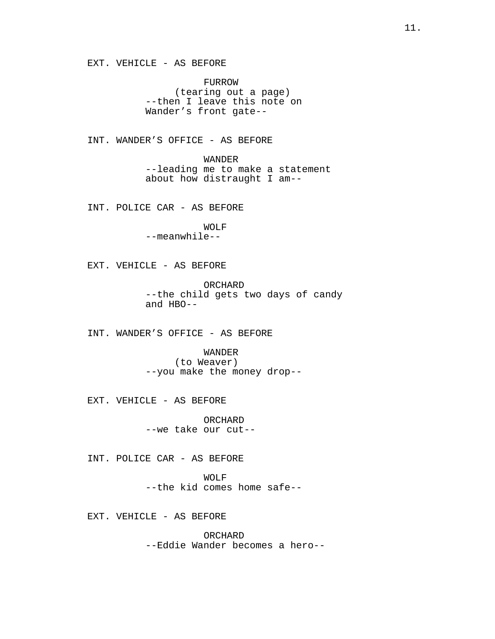EXT. VEHICLE - AS BEFORE

FURROW (tearing out a page) --then I leave this note on Wander's front gate--

INT. WANDER'S OFFICE - AS BEFORE

WANDER --leading me to make a statement about how distraught I am--

INT. POLICE CAR - AS BEFORE

WOLF --meanwhile--

EXT. VEHICLE - AS BEFORE

ORCHARD --the child gets two days of candy and HBO--

INT. WANDER'S OFFICE - AS BEFORE

WANDER (to Weaver) --you make the money drop--

EXT. VEHICLE - AS BEFORE

ORCHARD --we take our cut--

INT. POLICE CAR - AS BEFORE

WOLF --the kid comes home safe--

EXT. VEHICLE - AS BEFORE

ORCHARD --Eddie Wander becomes a hero--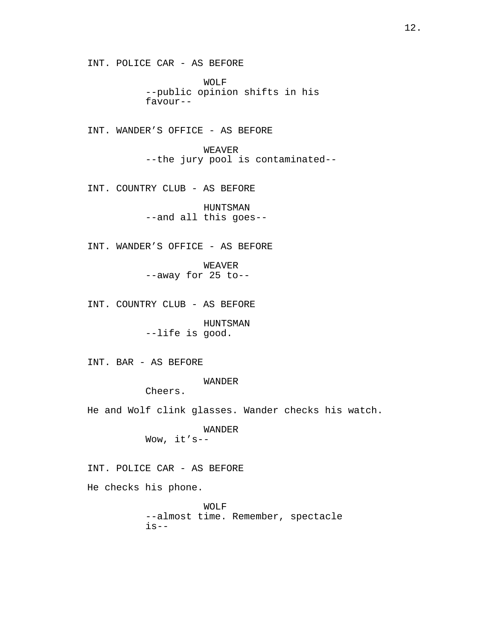WOLF --public opinion shifts in his favour--

INT. WANDER'S OFFICE - AS BEFORE

WEAVER --the jury pool is contaminated--

INT. COUNTRY CLUB - AS BEFORE

HUNTSMAN --and all this goes--

INT. WANDER'S OFFICE - AS BEFORE

WEAVER --away for 25 to--

INT. COUNTRY CLUB - AS BEFORE

HUNTSMAN --life is good.

INT. BAR - AS BEFORE

WANDER

Cheers.

He and Wolf clink glasses. Wander checks his watch.

WANDER Wow, it's--

INT. POLICE CAR - AS BEFORE

He checks his phone.

WOLF --almost time. Remember, spectacle  $is--$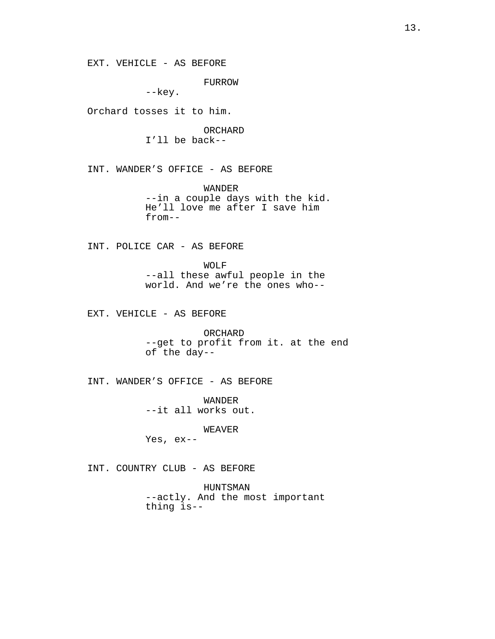EXT. VEHICLE - AS BEFORE

FURROW

--key.

Orchard tosses it to him.

ORCHARD I'll be back--

INT. WANDER'S OFFICE - AS BEFORE

WANDER --in a couple days with the kid. He'll love me after I save him from--

INT. POLICE CAR - AS BEFORE

WOLF --all these awful people in the world. And we're the ones who--

EXT. VEHICLE - AS BEFORE

ORCHARD --get to profit from it. at the end of the day--

INT. WANDER'S OFFICE - AS BEFORE

WANDER --it all works out.

WEAVER

Yes, ex--

INT. COUNTRY CLUB - AS BEFORE

HUNTSMAN --actly. And the most important thing is--